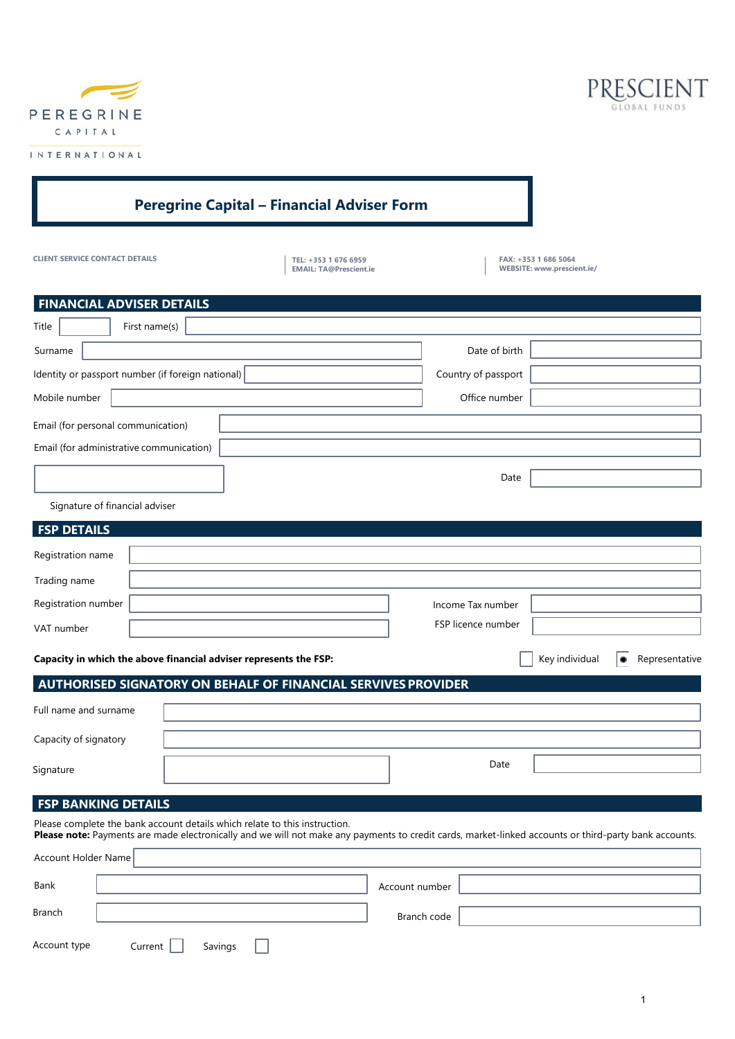

Ir



| <b>Peregrine Capital - Financial Adviser Form</b>                                                                                                                                                                                                                 |               |         |                                                       |                     |                    |                                                    |                |
|-------------------------------------------------------------------------------------------------------------------------------------------------------------------------------------------------------------------------------------------------------------------|---------------|---------|-------------------------------------------------------|---------------------|--------------------|----------------------------------------------------|----------------|
| <b>CLIENT SERVICE CONTACT DETAILS</b>                                                                                                                                                                                                                             |               |         | TEL: +353 1 676 6959<br><b>EMAIL: TA@Prescient.ie</b> |                     |                    | FAX: +353 1 686 5064<br>WEBSITE: www.prescient.ie/ |                |
| <b>FINANCIAL ADVISER DETAILS</b>                                                                                                                                                                                                                                  |               |         |                                                       |                     |                    |                                                    |                |
| Title                                                                                                                                                                                                                                                             | First name(s) |         |                                                       |                     |                    |                                                    |                |
| Surname                                                                                                                                                                                                                                                           |               |         |                                                       |                     | Date of birth      |                                                    |                |
| Identity or passport number (if foreign national)                                                                                                                                                                                                                 |               |         |                                                       | Country of passport |                    |                                                    |                |
| Mobile number                                                                                                                                                                                                                                                     |               |         |                                                       | Office number       |                    |                                                    |                |
| Email (for personal communication)                                                                                                                                                                                                                                |               |         |                                                       |                     |                    |                                                    |                |
| Email (for administrative communication)                                                                                                                                                                                                                          |               |         |                                                       |                     |                    |                                                    |                |
|                                                                                                                                                                                                                                                                   |               |         |                                                       |                     | Date               |                                                    |                |
| Signature of financial adviser                                                                                                                                                                                                                                    |               |         |                                                       |                     |                    |                                                    |                |
| <b>FSP DETAILS</b>                                                                                                                                                                                                                                                |               |         |                                                       |                     |                    |                                                    |                |
| Registration name                                                                                                                                                                                                                                                 |               |         |                                                       |                     |                    |                                                    |                |
| Trading name                                                                                                                                                                                                                                                      |               |         |                                                       |                     |                    |                                                    |                |
| Registration number                                                                                                                                                                                                                                               |               |         |                                                       |                     | Income Tax number  |                                                    |                |
| VAT number                                                                                                                                                                                                                                                        |               |         |                                                       |                     | FSP licence number |                                                    |                |
|                                                                                                                                                                                                                                                                   |               |         |                                                       |                     |                    |                                                    |                |
| Capacity in which the above financial adviser represents the FSP:                                                                                                                                                                                                 |               |         |                                                       |                     |                    | Key individual                                     | Representative |
| AUTHORISED SIGNATORY ON BEHALF OF FINANCIAL SERVIVES PROVIDER                                                                                                                                                                                                     |               |         |                                                       |                     |                    |                                                    |                |
| Full name and surname                                                                                                                                                                                                                                             |               |         |                                                       |                     |                    |                                                    |                |
| Capacity of signatory                                                                                                                                                                                                                                             |               |         |                                                       |                     |                    |                                                    |                |
| Signature                                                                                                                                                                                                                                                         |               |         |                                                       |                     | Date               |                                                    |                |
|                                                                                                                                                                                                                                                                   |               |         |                                                       |                     |                    |                                                    |                |
| <b>FSP BANKING DETAILS</b><br>Please complete the bank account details which relate to this instruction.<br>Please note: Payments are made electronically and we will not make any payments to credit cards, market-linked accounts or third-party bank accounts. |               |         |                                                       |                     |                    |                                                    |                |
| Account Holder Name                                                                                                                                                                                                                                               |               |         |                                                       |                     |                    |                                                    |                |
| Bank                                                                                                                                                                                                                                                              |               |         |                                                       | Account number      |                    |                                                    |                |
|                                                                                                                                                                                                                                                                   |               |         |                                                       |                     |                    |                                                    |                |
| Branch                                                                                                                                                                                                                                                            |               |         |                                                       | Branch code         |                    |                                                    |                |
| Account type                                                                                                                                                                                                                                                      | Current       | Savings |                                                       |                     |                    |                                                    |                |